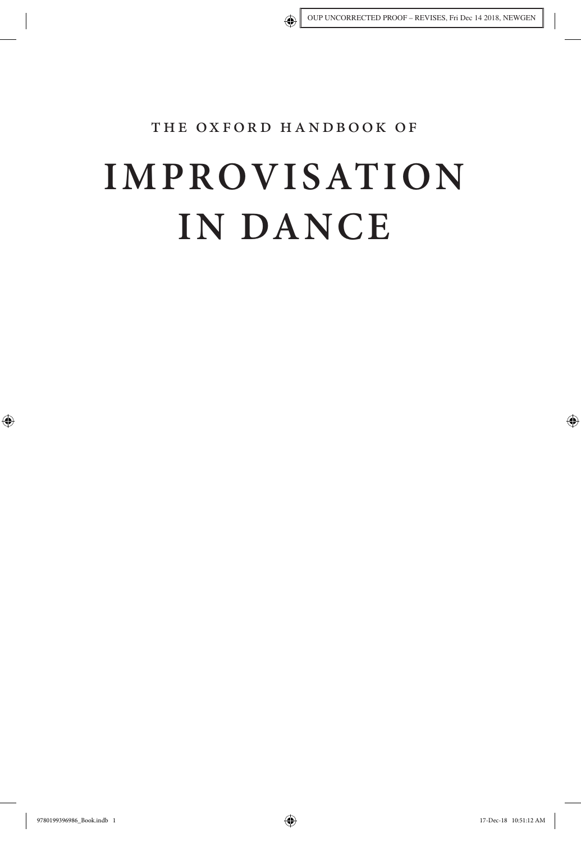# THE OXFORD HANDBOOK OF

⊕

# **IMPROVISATION IN DANCE**

 $\bigoplus$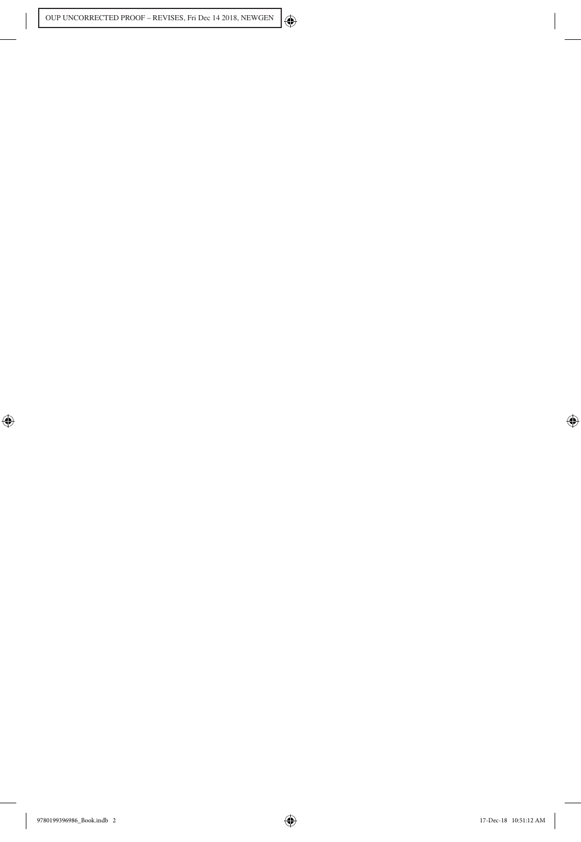$\bigoplus$ 

 $\bigoplus$ 

 $\overline{\phantom{a}}$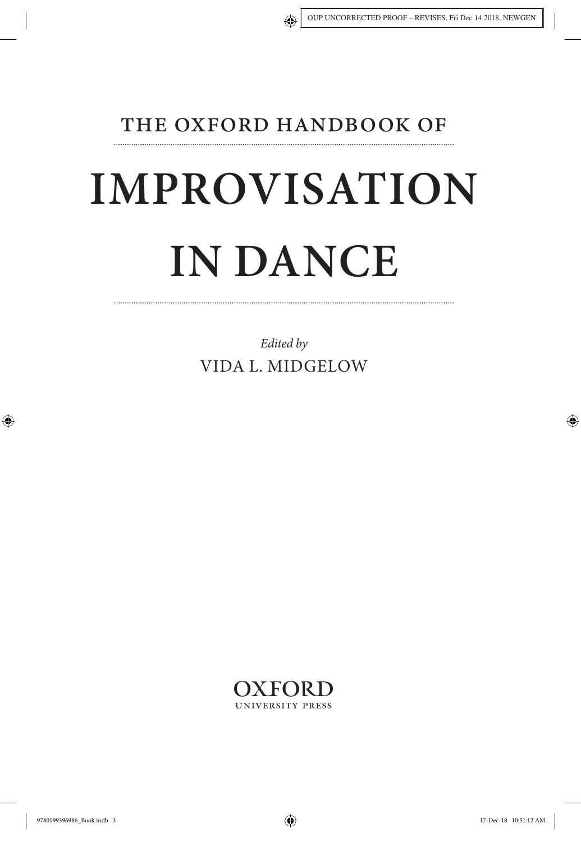# THE OXFORD HANDBOOK OF

◈

# **IMPROVISATION IN DANCE**

*Edited by*  VIDA L. MIDGELOW



⊕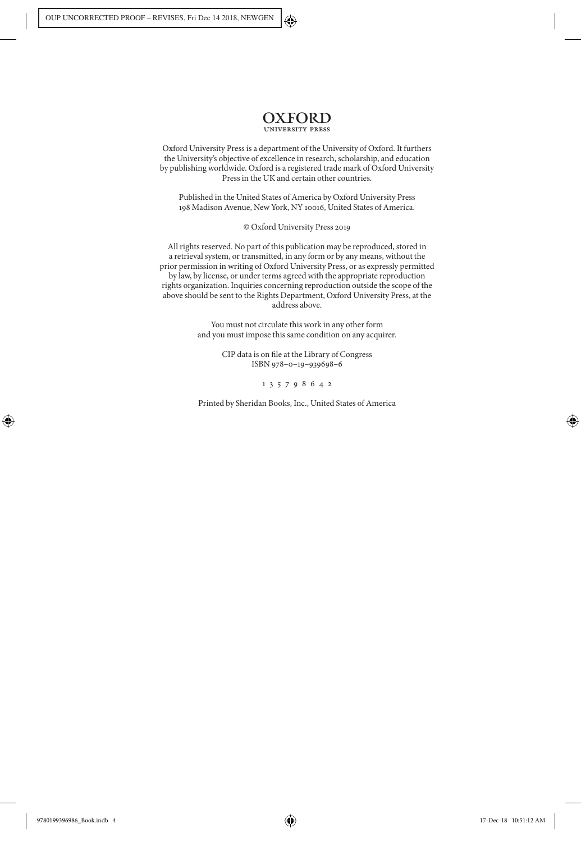

♠

Oxford University Press is a department of the University of Oxford. It furthers the University's objective of excellence in research, scholarship, and education by publishing worldwide. Oxford is a registered trade mark of Oxford University Press in the UK and certain other countries.

Published in the United States of America by Oxford University Press 198 Madison Avenue, New York, NY 10016, United States of America.

#### © Oxford University Press 2019

All rights reserved. No part of this publication may be reproduced, stored in a retrieval system, or transmitted, in any form or by any means, without the prior permission in writing of Oxford University Press, or as expressly permitted by law, by license, or under terms agreed with the appropriate reproduction rights organization. Inquiries concerning reproduction outside the scope of the above should be sent to the Rights Department, Oxford University Press, at the address above.

> You must not circulate this work in any other form and you must impose this same condition on any acquirer.

> > CIP data is on file at the Library of Congress ISBN 978–0–19–939698–6

> > > 1 3 5 7 9 8 6 4 2

Printed by Sheridan Books, Inc., United States of America

⊕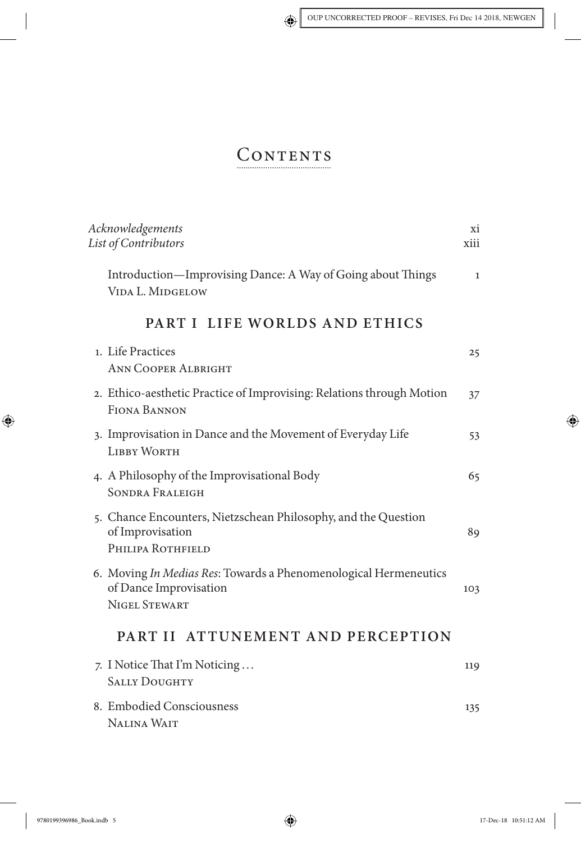#### OUP UNCORRECTED PROOF – REVISES, Fri Dec 14 2018, NEWGEN

 $\overline{\phantom{a}}$ 

 $\bigoplus$ 

# CONTENTS

 $\bigoplus$ 

| Acknowledgements<br>List of Contributors                                                                    | хi<br>xiii   |
|-------------------------------------------------------------------------------------------------------------|--------------|
| Introduction—Improvising Dance: A Way of Going about Things<br><b>VIDA L. MIDGELOW</b>                      | $\mathbf{1}$ |
| PART I LIFE WORLDS AND ETHICS                                                                               |              |
| 1. Life Practices<br><b>ANN COOPER ALBRIGHT</b>                                                             | 25           |
| 2. Ethico-aesthetic Practice of Improvising: Relations through Motion<br><b>FIONA BANNON</b>                | 37           |
| 3. Improvisation in Dance and the Movement of Everyday Life<br>LIBBY WORTH                                  | 53           |
| 4. A Philosophy of the Improvisational Body<br><b>SONDRA FRALEIGH</b>                                       | 65           |
| 5. Chance Encounters, Nietzschean Philosophy, and the Question<br>of Improvisation<br>PHILIPA ROTHFIELD     | 89           |
| 6. Moving In Medias Res: Towards a Phenomenological Hermeneutics<br>of Dance Improvisation<br>NIGEL STEWART | 103          |
| PART II ATTUNEMENT AND PERCEPTION                                                                           |              |
| 7. I Notice That I'm Noticing<br><b>SALLY DOUGHTY</b>                                                       | 119          |
| 8. Embodied Consciousness<br><b>NALINA WAIT</b>                                                             | 135          |

 $\bigoplus$ 

 $\overline{\phantom{a}}$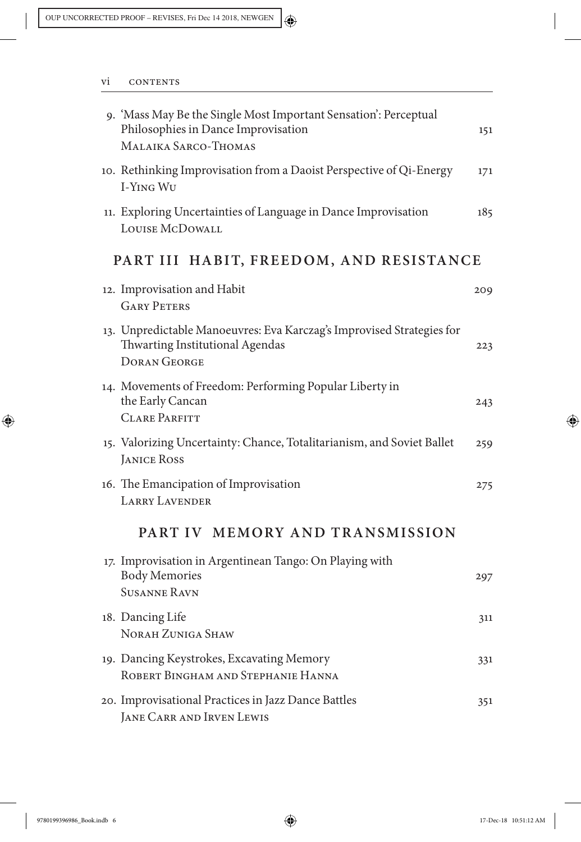#### vi CONTENTS

| 9. 'Mass May Be the Single Most Important Sensation': Perceptual<br>Philosophies in Dance Improvisation<br>MALAIKA SARCO-THOMAS | 151 |
|---------------------------------------------------------------------------------------------------------------------------------|-----|
| 10. Rethinking Improvisation from a Daoist Perspective of Qi-Energy<br><b>I-YING WU</b>                                         | 171 |
| 11. Exploring Uncertainties of Language in Dance Improvisation<br>LOUISE McDOWALL                                               | 185 |
| PART III HABIT, FREEDOM, AND RESISTANCE                                                                                         |     |
| 12. Improvisation and Habit<br><b>GARY PETERS</b>                                                                               | 209 |
| 13. Unpredictable Manoeuvres: Eva Karczag's Improvised Strategies for<br>Thwarting Institutional Agendas<br><b>DORAN GEORGE</b> | 223 |
| 14. Movements of Freedom: Performing Popular Liberty in<br>the Early Cancan<br><b>CLARE PARFITT</b>                             | 243 |
| 15. Valorizing Uncertainty: Chance, Totalitarianism, and Soviet Ballet<br><b>JANICE ROSS</b>                                    | 259 |
| 16. The Emancipation of Improvisation<br><b>LARRY LAVENDER</b>                                                                  | 275 |
| PART IV MEMORY AND TRANSMISSION                                                                                                 |     |
| 17. Improvisation in Argentinean Tango: On Playing with<br><b>Body Memories</b><br><b>SUSANNE RAVN</b>                          | 297 |
| 18. Dancing Life<br>NORAH ZUNIGA SHAW                                                                                           | 311 |
| 19. Dancing Keystrokes, Excavating Memory<br>ROBERT BINGHAM AND STEPHANIE HANNA                                                 | 331 |
| 20. Improvisational Practices in Jazz Dance Battles<br><b>JANE CARR AND IRVEN LEWIS</b>                                         | 351 |

 $\bigoplus$ 

 $\bigoplus$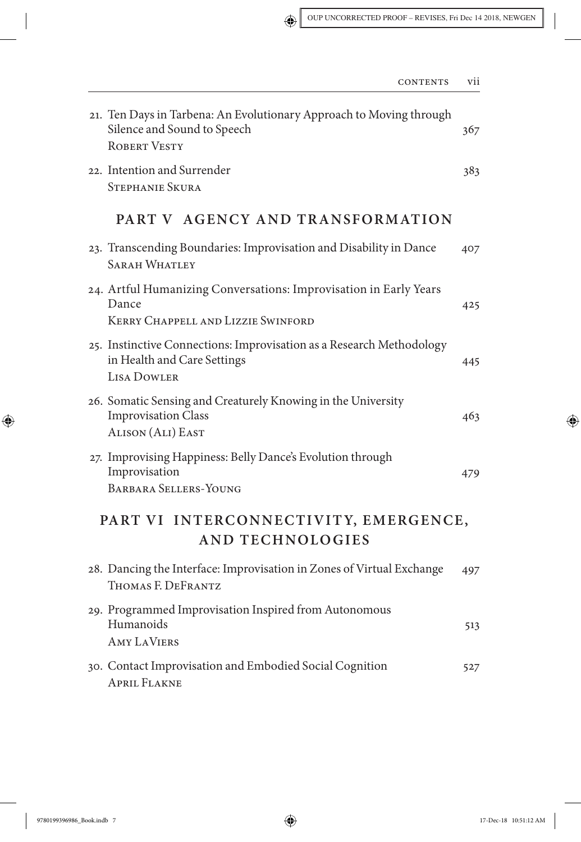$\overline{\phantom{a}}$ 

 $\bigoplus$ 

| <b>CONTENTS</b>                                                                                                           | vii |
|---------------------------------------------------------------------------------------------------------------------------|-----|
| 21. Ten Days in Tarbena: An Evolutionary Approach to Moving through<br>Silence and Sound to Speech<br><b>ROBERT VESTY</b> | 367 |
| 22. Intention and Surrender<br><b>STEPHANIE SKURA</b>                                                                     | 383 |
| PART V AGENCY AND TRANSFORMATION                                                                                          |     |
| 23. Transcending Boundaries: Improvisation and Disability in Dance<br><b>SARAH WHATLEY</b>                                | 407 |
| 24. Artful Humanizing Conversations: Improvisation in Early Years<br>Dance<br><b>KERRY CHAPPELL AND LIZZIE SWINFORD</b>   | 425 |
| 25. Instinctive Connections: Improvisation as a Research Methodology<br>in Health and Care Settings<br><b>LISA DOWLER</b> | 445 |
| 26. Somatic Sensing and Creaturely Knowing in the University<br><b>Improvisation Class</b><br>ALISON (ALI) EAST           | 463 |
| 27. Improvising Happiness: Belly Dance's Evolution through<br>Improvisation<br>BARBARA SELLERS-YOUNG                      | 479 |
| PART VI INTERCONNECTIVITY, EMERGENCE,<br><b>AND TECHNOLOGIES</b>                                                          |     |
| 28. Dancing the Interface: Improvisation in Zones of Virtual Exchange<br>THOMAS F. DEFRANTZ                               | 497 |
| 29. Programmed Improvisation Inspired from Autonomous<br>Humanoids<br><b>AMY LAVIERS</b>                                  | 513 |
| 30. Contact Improvisation and Embodied Social Cognition<br><b>APRIL FLAKNE</b>                                            | 527 |

 $\bigoplus$ 

 $\overline{\phantom{a}}$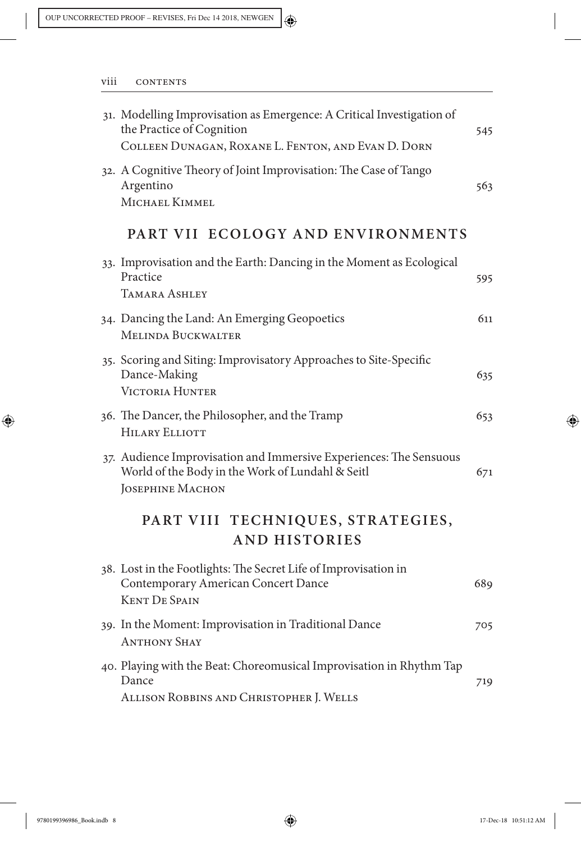#### viii CONTENTS

| 31. Modelling Improvisation as Emergence: A Critical Investigation of |     |
|-----------------------------------------------------------------------|-----|
| the Practice of Cognition                                             | 545 |
| COLLEEN DUNAGAN, ROXANE L. FENTON, AND EVAN D. DORN                   |     |
| 32. A Cognitive Theory of Joint Improvisation: The Case of Tango      |     |
| Argentino                                                             | 563 |
| MICHAEL KIMMEL                                                        |     |

⊕

### **PART VII ECOLOGY AND ENVIRONMENTS**

| 33. Improvisation and the Earth: Dancing in the Moment as Ecological<br>Practice<br><b>TAMARA ASHLEY</b>                                          | 595 |
|---------------------------------------------------------------------------------------------------------------------------------------------------|-----|
| 34. Dancing the Land: An Emerging Geopoetics<br><b>MELINDA BUCKWALTER</b>                                                                         | 611 |
| 35. Scoring and Siting: Improvisatory Approaches to Site-Specific<br>Dance-Making<br><b>VICTORIA HUNTER</b>                                       | 635 |
| 36. The Dancer, the Philosopher, and the Tramp<br><b>HILARY ELLIOTT</b>                                                                           | 653 |
| 37. Audience Improvisation and Immersive Experiences: The Sensuous<br>World of the Body in the Work of Lundahl & Seitl<br><b>JOSEPHINE MACHON</b> | 671 |
| PART VIII TECHNIQUES, STRATEGIES,<br><b>AND HISTORIES</b>                                                                                         |     |
| 38. Lost in the Footlights: The Secret Life of Improvisation in<br>Contemporary American Concert Dance<br><b>KENT DE SPAIN</b>                    | 689 |
| 39. In the Moment: Improvisation in Traditional Dance<br><b>ANTHONY SHAY</b>                                                                      | 705 |
| 40. Playing with the Beat: Choreomusical Improvisation in Rhythm Tap<br>Dance<br>ALLISON ROBBINS AND CHRISTOPHER J. WELLS                         | 719 |

 $\bigoplus$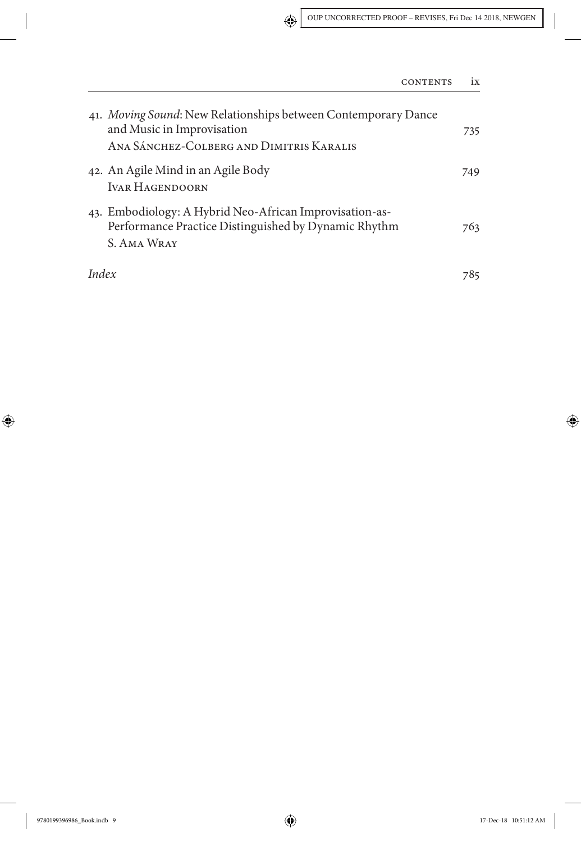$\overline{\phantom{a}}$ 

 $\bigoplus$ 

|       |                                                                                                                                | <b>CONTENTS</b> | ix  |
|-------|--------------------------------------------------------------------------------------------------------------------------------|-----------------|-----|
|       | 41. Moving Sound: New Relationships between Contemporary Dance<br>and Music in Improvisation                                   |                 | 735 |
|       | ANA SÁNCHEZ-COLBERG AND DIMITRIS KARALIS                                                                                       |                 |     |
|       | 42. An Agile Mind in an Agile Body<br><b>IVAR HAGENDOORN</b>                                                                   |                 | 749 |
|       | 43. Embodiology: A Hybrid Neo-African Improvisation-as-<br>Performance Practice Distinguished by Dynamic Rhythm<br>S. AMA WRAY |                 | 763 |
| Index |                                                                                                                                |                 |     |

 $\bigoplus$ 

I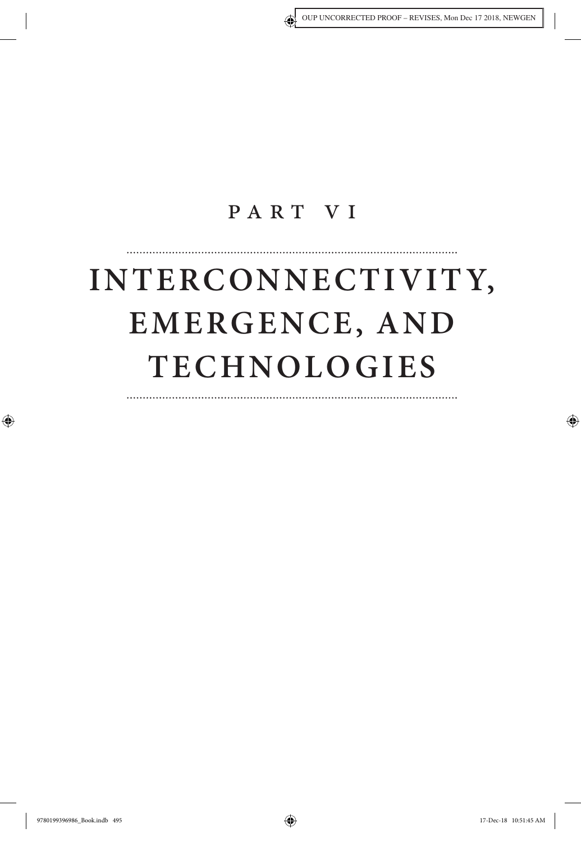# PART VI

# **INTERC ONNECTIVIT Y, EMERGENCE, AND TECHNOLOGIES**

⊕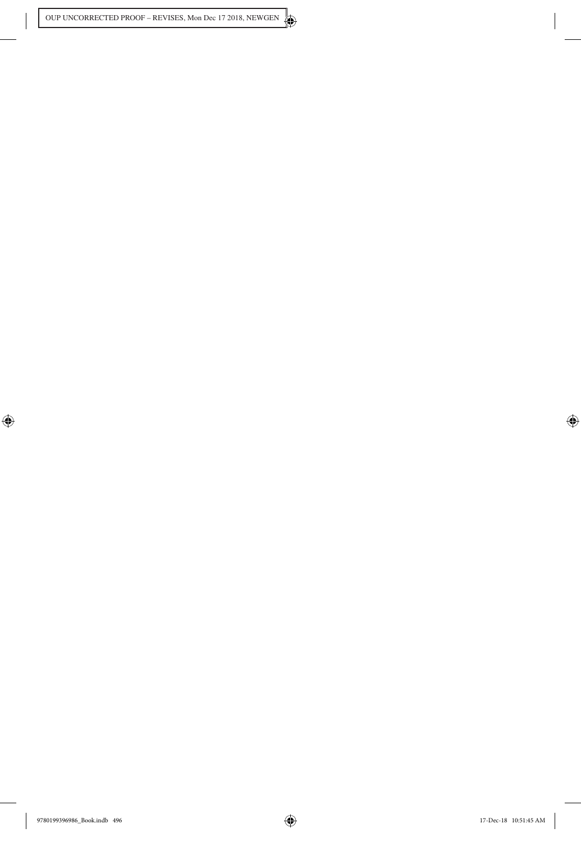$\bigoplus$ 

 $\overline{\phantom{a}}$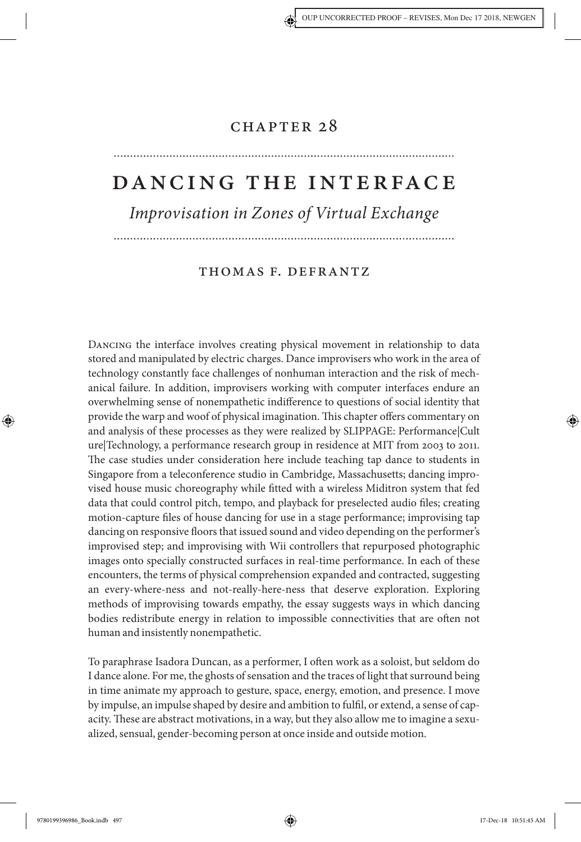### CHAPTER 28

# Dancing the Interface

*Improvisation in Zones of Virtual Exchange*

Thomas F. DeFrantz

Dancing the interface involves creating physical movement in relationship to data stored and manipulated by electric charges. Dance improvisers who work in the area of technology constantly face challenges of nonhuman interaction and the risk of mechanical failure. In addition, improvisers working with computer interfaces endure an overwhelming sense of nonempathetic indifference to questions of social identity that provide the warp and woof of physical imagination. This chapter offers commentary on and analysis of these processes as they were realized by SLIPPAGE: Performance|Cult ure|Technology, a performance research group in residence at MIT from 2003 to 2011. The case studies under consideration here include teaching tap dance to students in Singapore from a teleconference studio in Cambridge, Massachusetts; dancing improvised house music choreography while fitted with a wireless Miditron system that fed data that could control pitch, tempo, and playback for preselected audio files; creating motion-capture files of house dancing for use in a stage performance; improvising tap dancing on responsive floors that issued sound and video depending on the performer's improvised step; and improvising with Wii controllers that repurposed photographic images onto specially constructed surfaces in real-time performance. In each of these encounters, the terms of physical comprehension expanded and contracted, suggesting an every-where-ness and not-really-here-ness that deserve exploration. Exploring methods of improvising towards empathy, the essay suggests ways in which dancing bodies redistribute energy in relation to impossible connectivities that are often not human and insistently nonempathetic.

To paraphrase Isadora Duncan, as a performer, I often work as a soloist, but seldom do I dance alone. For me, the ghosts of sensation and the traces of light that surround being in time animate my approach to gesture, space, energy, emotion, and presence. I move by impulse, an impulse shaped by desire and ambition to fulfil, or extend, a sense of capacity. These are abstract motivations, in a way, but they also allow me to imagine a sexualized, sensual, gender-becoming person at once inside and outside motion.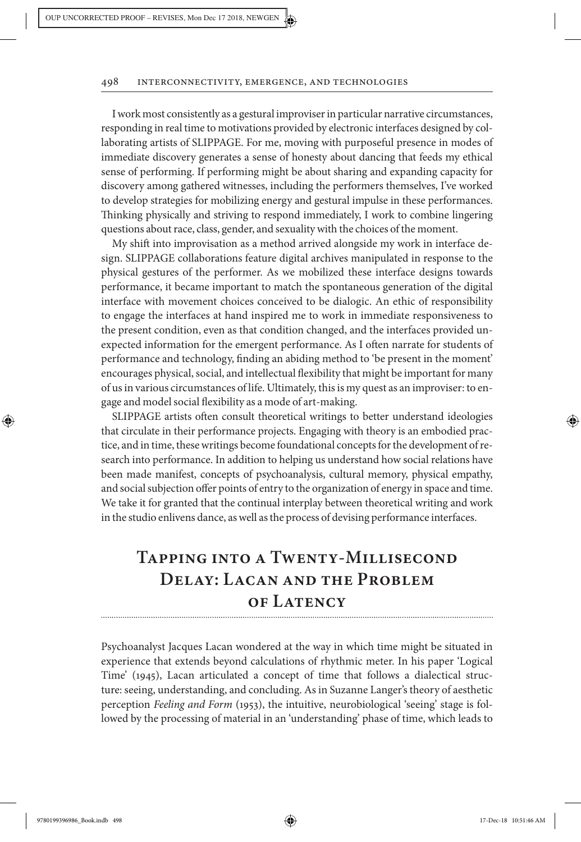I work most consistently as a gestural improviser in particular narrative circumstances, responding in real time to motivations provided by electronic interfaces designed by collaborating artists of SLIPPAGE. For me, moving with purposeful presence in modes of immediate discovery generates a sense of honesty about dancing that feeds my ethical sense of performing. If performing might be about sharing and expanding capacity for discovery among gathered witnesses, including the performers themselves, I've worked to develop strategies for mobilizing energy and gestural impulse in these performances. Thinking physically and striving to respond immediately, I work to combine lingering questions about race, class, gender, and sexuality with the choices of the moment.

My shift into improvisation as a method arrived alongside my work in interface design. SLIPPAGE collaborations feature digital archives manipulated in response to the physical gestures of the performer. As we mobilized these interface designs towards performance, it became important to match the spontaneous generation of the digital interface with movement choices conceived to be dialogic. An ethic of responsibility to engage the interfaces at hand inspired me to work in immediate responsiveness to the present condition, even as that condition changed, and the interfaces provided unexpected information for the emergent performance. As I often narrate for students of performance and technology, finding an abiding method to 'be present in the moment' encourages physical, social, and intellectual flexibility that might be important for many of us in various circumstances of life. Ultimately, this is my quest as an improviser: to engage and model social flexibility as a mode of art-making.

SLIPPAGE artists often consult theoretical writings to better understand ideologies that circulate in their performance projects. Engaging with theory is an embodied practice, and in time, these writings become foundational concepts for the development of research into performance. In addition to helping us understand how social relations have been made manifest, concepts of psychoanalysis, cultural memory, physical empathy, and social subjection offer points of entry to the organization of energy in space and time. We take it for granted that the continual interplay between theoretical writing and work in the studio enlivens dance, as well as the process of devising performance interfaces.

# **Tapping into a Twenty-Millisecond Delay: Lacan and the Problem of Latency**

Psychoanalyst Jacques Lacan wondered at the way in which time might be situated in experience that extends beyond calculations of rhythmic meter. In his paper 'Logical Time' (1945), Lacan articulated a concept of time that follows a dialectical structure: seeing, understanding, and concluding. As in Suzanne Langer's theory of aesthetic perception *Feeling and Form* (1953), the intuitive, neurobiological 'seeing' stage is followed by the processing of material in an 'understanding' phase of time, which leads to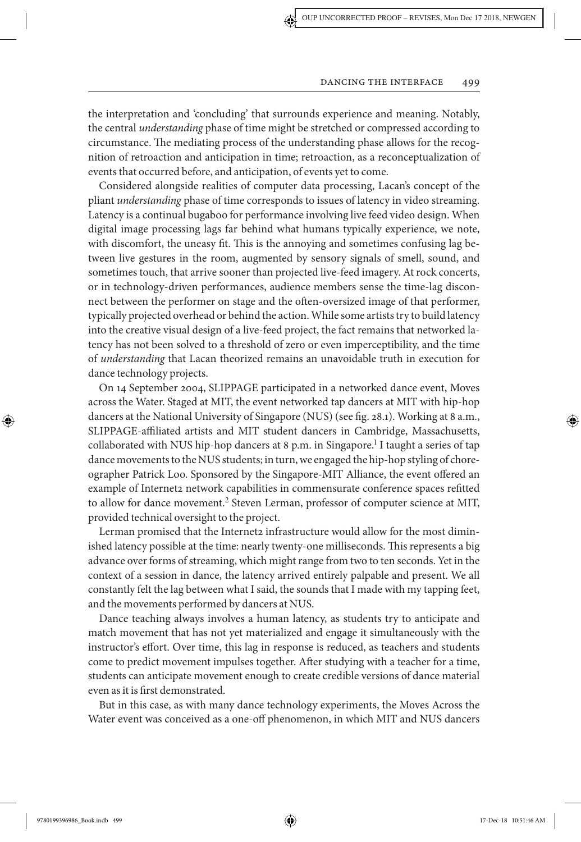the interpretation and 'concluding' that surrounds experience and meaning. Notably, the central *understanding* phase of time might be stretched or compressed according to circumstance. The mediating process of the understanding phase allows for the recognition of retroaction and anticipation in time; retroaction, as a reconceptualization of events that occurred before, and anticipation, of events yet to come.

Considered alongside realities of computer data processing, Lacan's concept of the pliant *understanding* phase of time corresponds to issues of latency in video streaming. Latency is a continual bugaboo for performance involving live feed video design. When digital image processing lags far behind what humans typically experience, we note, with discomfort, the uneasy fit. This is the annoying and sometimes confusing lag between live gestures in the room, augmented by sensory signals of smell, sound, and sometimes touch, that arrive sooner than projected live-feed imagery. At rock concerts, or in technology-driven performances, audience members sense the time-lag disconnect between the performer on stage and the often-oversized image of that performer, typically projected overhead or behind the action. While some artists try to build latency into the creative visual design of a live-feed project, the fact remains that networked latency has not been solved to a threshold of zero or even imperceptibility, and the time of *understanding* that Lacan theorized remains an unavoidable truth in execution for dance technology projects.

On 14 September 2004, SLIPPAGE participated in a networked dance event, Moves across the Water. Staged at MIT, the event networked tap dancers at MIT with hip-hop dancers at the National University of Singapore (NUS) (see fig. 28.1). Working at 8 a.m., SLIPPAGE-affiliated artists and MIT student dancers in Cambridge, Massachusetts, collaborated with NUS hip-hop dancers at 8 p.m. in Singapore.<sup>1</sup> I taught a series of tap dance movements to the NUS students; in turn, we engaged the hip-hop styling of choreographer Patrick Loo. Sponsored by the Singapore-MIT Alliance, the event offered an example of Internet2 network capabilities in commensurate conference spaces refitted to allow for dance movement.<sup>2</sup> Steven Lerman, professor of computer science at MIT, provided technical oversight to the project.

Lerman promised that the Internet2 infrastructure would allow for the most diminished latency possible at the time: nearly twenty-one milliseconds. This represents a big advance over forms of streaming, which might range from two to ten seconds. Yet in the context of a session in dance, the latency arrived entirely palpable and present. We all constantly felt the lag between what I said, the sounds that I made with my tapping feet, and the movements performed by dancers at NUS.

Dance teaching always involves a human latency, as students try to anticipate and match movement that has not yet materialized and engage it simultaneously with the instructor's effort. Over time, this lag in response is reduced, as teachers and students come to predict movement impulses together. After studying with a teacher for a time, students can anticipate movement enough to create credible versions of dance material even as it is first demonstrated.

But in this case, as with many dance technology experiments, the Moves Across the Water event was conceived as a one-off phenomenon, in which MIT and NUS dancers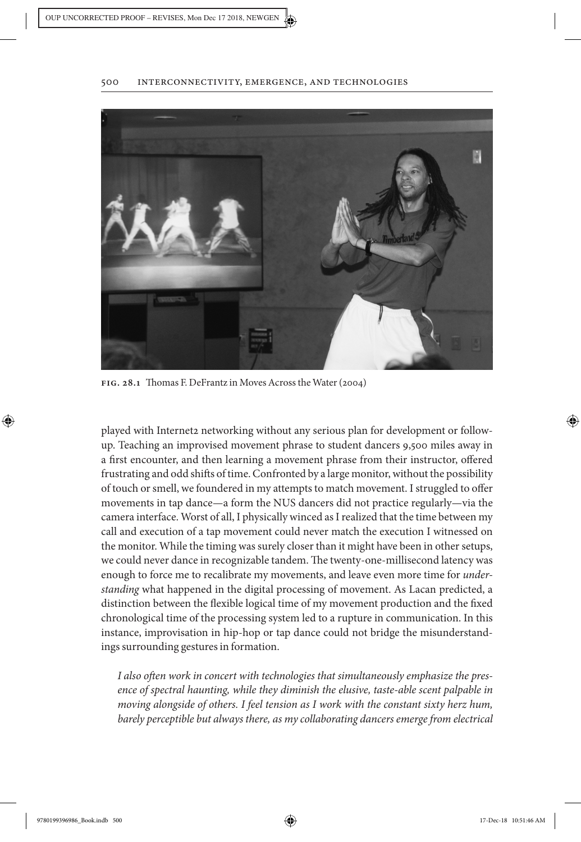

**Fig. 28.1** Thomas F. DeFrantz in Moves Across the Water(2004)

played with Internet2 networking without any serious plan for development or followup. Teaching an improvised movement phrase to student dancers 9,500 miles away in a first encounter, and then learning a movement phrase from their instructor, offered frustrating and odd shifts of time. Confronted by a large monitor, without the possibility of touch or smell, we foundered in my attempts to match movement. I struggled to offer movements in tap dance—a form the NUS dancers did not practice regularly—via the camera interface. Worst of all, I physically winced as I realized that the time between my call and execution of a tap movement could never match the execution I witnessed on the monitor. While the timing was surely closer than it might have been in other setups, we could never dance in recognizable tandem. The twenty-one-millisecond latency was enough to force me to recalibrate my movements, and leave even more time for *understanding* what happened in the digital processing of movement. As Lacan predicted, a distinction between the flexible logical time of my movement production and the fixed chronological time of the processing system led to a rupture in communication. In this instance, improvisation in hip-hop or tap dance could not bridge the misunderstandings surrounding gestures in formation.

*I also often work in concert with technologies that simultaneously emphasize the presence of spectral haunting, while they diminish the elusive, taste-able scent palpable in moving alongside of others. I feel tension as I work with the constant sixty herz hum, barely perceptible but always there, as my collaborating dancers emerge from electrical* 

⊕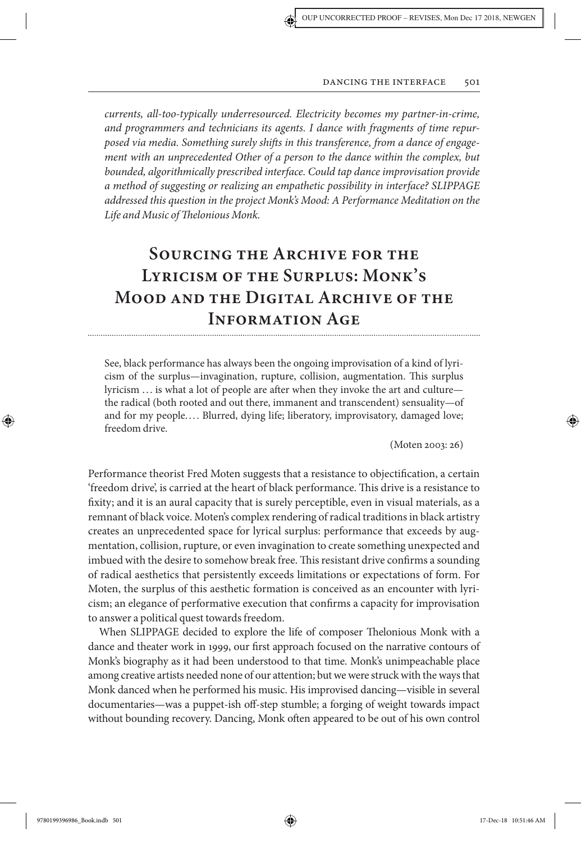#### DANCING THE INTERFACE 501

*currents, all-too-typically underresourced. Electricity becomes my partner-in-crime, and programmers and technicians its agents. I dance with fragments of time repurposed via media. Something surely shifts in this transference, from a dance of engagement with an unprecedented Other of a person to the dance within the complex, but bounded, algorithmically prescribed interface. Could tap dance improvisation provide a method of suggesting or realizing an empathetic possibility in interface? SLIPPAGE addressed this question in the project Monk's Mood: A Performance Meditation on the Life and Music of Thelonious Monk.*

# **Sourcing the Archive for the Lyricism of the Surplus: Monk's Mood and the Digital Archive of the Information Age**

See, black performance has always been the ongoing improvisation of a kind of lyricism of the surplus—invagination, rupture, collision, augmentation. This surplus lyricism . . . is what a lot of people are after when they invoke the art and culture the radical (both rooted and out there, immanent and transcendent) sensuality—of and for my people.... Blurred, dying life; liberatory, improvisatory, damaged love; freedom drive.

(Moten 2003: 26)

Performance theorist Fred Moten suggests that a resistance to objectification, a certain 'freedom drive', is carried at the heart of black performance. This drive is a resistance to fixity; and it is an aural capacity that is surely perceptible, even in visual materials, as a remnant of black voice. Moten's complex rendering of radical traditions in black artistry creates an unprecedented space for lyrical surplus: performance that exceeds by augmentation, collision, rupture, or even invagination to create something unexpected and imbued with the desire to somehow break free. This resistant drive confirms a sounding of radical aesthetics that persistently exceeds limitations or expectations of form. For Moten, the surplus of this aesthetic formation is conceived as an encounter with lyricism; an elegance of performative execution that confirms a capacity for improvisation to answer a political quest towards freedom.

When SLIPPAGE decided to explore the life of composer Thelonious Monk with a dance and theater work in 1999, our first approach focused on the narrative contours of Monk's biography as it had been understood to that time. Monk's unimpeachable place among creative artists needed none of our attention; but we were struck with the ways that Monk danced when he performed his music. His improvised dancing—visible in several documentaries—was a puppet-ish off-step stumble; a forging of weight towards impact without bounding recovery. Dancing, Monk often appeared to be out of his own control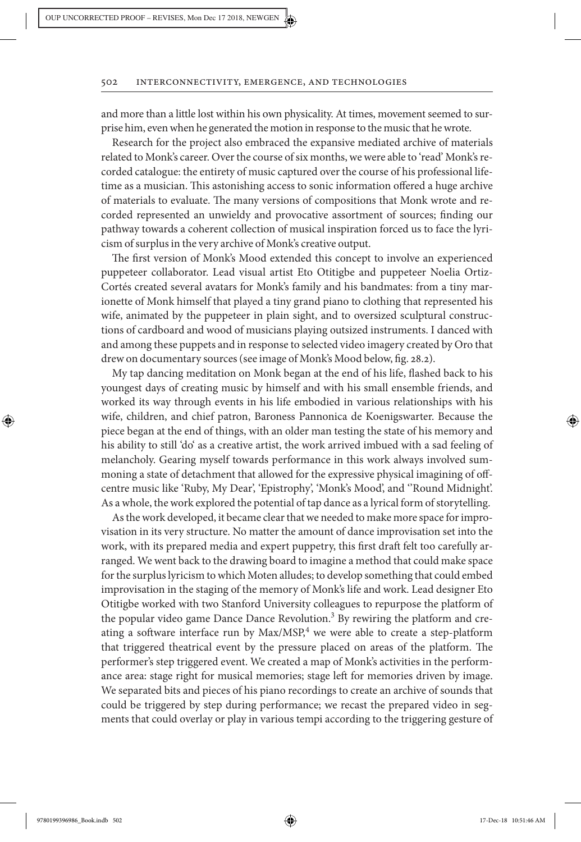and more than a little lost within his own physicality. At times, movement seemed to surprise him, even when he generated the motion in response to the music that hewrote.

Research for the project also embraced the expansive mediated archive of materials related to Monk's career. Over the course of six months, we were able to 'read' Monk's recorded catalogue: the entirety of music captured over the course of his professional lifetime as a musician. This astonishing access to sonic information offered a huge archive of materials to evaluate. The many versions of compositions that Monk wrote and recorded represented an unwieldy and provocative assortment of sources; finding our pathway towards a coherent collection of musical inspiration forced us to face the lyricism of surplus in the very archive of Monk's creative output.

The first version of Monk's Mood extended this concept to involve an experienced puppeteer collaborator. Lead visual artist Eto Otitigbe and puppeteer Noelia Ortiz-Cortés created several avatars for Monk's family and his bandmates: from a tiny marionette of Monk himself that played a tiny grand piano to clothing that represented his wife, animated by the puppeteer in plain sight, and to oversized sculptural constructions of cardboard and wood of musicians playing outsized instruments. I danced with and among these puppets and in response to selected video imagery created by Oro that drew on documentary sources (see image of Monk's Mood below, fig. 28.2).

My tap dancing meditation on Monk began at the end of his life, flashed back to his youngest days of creating music by himself and with his small ensemble friends, and worked its way through events in his life embodied in various relationships with his wife, children, and chief patron, Baroness Pannonica de Koenigswarter. Because the piece began at the end of things, with an older man testing the state of his memory and his ability to still 'do' as a creative artist, the work arrived imbued with a sad feeling of melancholy. Gearing myself towards performance in this work always involved summoning a state of detachment that allowed for the expressive physical imagining of offcentre music like 'Ruby, My Dear', 'Epistrophy', 'Monk's Mood', and ''Round Midnight'. As a whole, the work explored the potential of tap dance as a lyrical form of storytelling.

As the work developed, it became clear that we needed to make more space for improvisation in its very structure. No matter the amount of dance improvisation set into the work, with its prepared media and expert puppetry, this first draft felt too carefully arranged. We went back to the drawing board to imagine a method that could make space for the surplus lyricism to which Moten alludes; to develop something that could embed improvisation in the staging of the memory of Monk's life and work. Lead designer Eto Otitigbe worked with two Stanford University colleagues to repurpose the platform of the popular video game Dance Dance Revolution.<sup>3</sup> By rewiring the platform and creating a software interface run by  $Max/MSP<sup>4</sup>$  we were able to create a step-platform that triggered theatrical event by the pressure placed on areas of the platform. The performer's step triggered event. We created a map of Monk's activities in the performance area: stage right for musical memories; stage left for memories driven by image. We separated bits and pieces of his piano recordings to create an archive of sounds that could be triggered by step during performance; we recast the prepared video in segments that could overlay or play in various tempi according to the triggering gesture of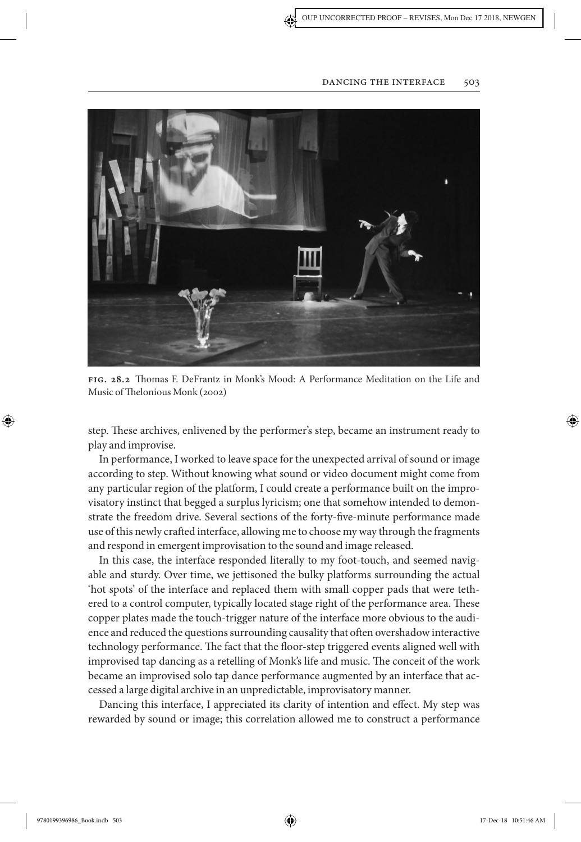#### DANCING THE INTERFACE 503



**Fig. 28.2** Thomas F. DeFrantz in Monk's Mood: A Performance Meditation on the Life and Music of Thelonious Monk (2002)

step. These archives, enlivened by the performer's step, became an instrument ready to play and improvise.

In performance, I worked to leave space for the unexpected arrival of sound or image according to step. Without knowing what sound or video document might come from any particular region of the platform, I could create a performance built on the improvisatory instinct that begged a surplus lyricism; one that somehow intended to demonstrate the freedom drive. Several sections of the forty-five-minute performance made use of this newly crafted interface, allowing me to choose my way through the fragments and respond in emergent improvisation to the sound and image released.

In this case, the interface responded literally to my foot-touch, and seemed navigable and sturdy. Over time, we jettisoned the bulky platforms surrounding the actual 'hot spots' of the interface and replaced them with small copper pads that were tethered to a control computer, typically located stage right of the performance area. These copper plates made the touch-trigger nature of the interface more obvious to the audience and reduced the questions surrounding causality that often overshadow interactive technology performance. The fact that the floor-step triggered events aligned well with improvised tap dancing as a retelling of Monk's life and music. The conceit of the work became an improvised solo tap dance performance augmented by an interface that accessed a large digital archive in an unpredictable, improvisatory manner.

Dancing this interface, I appreciated its clarity of intention and effect. My step was rewarded by sound or image; this correlation allowed me to construct a performance

⊕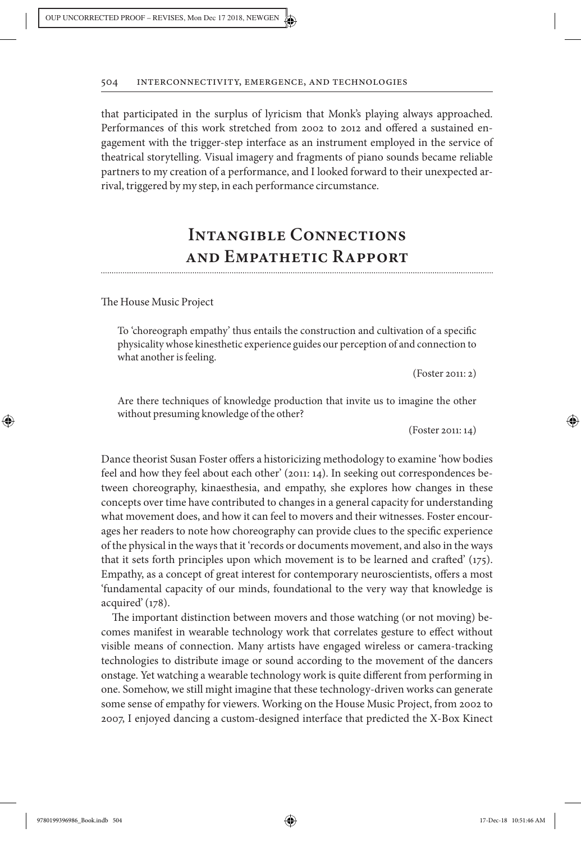that participated in the surplus of lyricism that Monk's playing always approached. Performances of this work stretched from 2002 to 2012 and offered a sustained engagement with the trigger-step interface as an instrument employed in the service of theatrical storytelling. Visual imagery and fragments of piano sounds became reliable partners to my creation of a performance, and I looked forward to their unexpected arrival, triggered by my step, in each performance circumstance.

## **Intangible Connections and Empathetic Rapport**

The House Music Project

To 'choreograph empathy' thus entails the construction and cultivation of a specific physicality whose kinesthetic experience guides our perception of and connection to what another is feeling.

(Foster 2011: 2)

Are there techniques of knowledge production that invite us to imagine the other without presuming knowledge of the other?

(Foster 2011: 14)

Dance theorist Susan Foster offers a historicizing methodology to examine 'how bodies feel and how they feel about each other' (2011: 14). In seeking out correspondences between choreography, kinaesthesia, and empathy, she explores how changes in these concepts over time have contributed to changes in a general capacity for understanding what movement does, and how it can feel to movers and their witnesses. Foster encourages her readers to note how choreography can provide clues to the specific experience of the physical in the ways that it 'records or documents movement, and also in the ways that it sets forth principles upon which movement is to be learned and crafted' (175). Empathy, as a concept of great interest for contemporary neuroscientists, offers a most 'fundamental capacity of our minds, foundational to the very way that knowledge is acquired'(178).

The important distinction between movers and those watching (or not moving) becomes manifest in wearable technology work that correlates gesture to effect without visible means of connection. Many artists have engaged wireless or camera-tracking technologies to distribute image or sound according to the movement of the dancers onstage. Yet watching a wearable technology work is quite different from performing in one. Somehow, we still might imagine that these technology-driven works can generate some sense of empathy for viewers. Working on the House Music Project, from 2002 to 2007, I enjoyed dancing a custom-designed interface that predicted the X-Box Kinect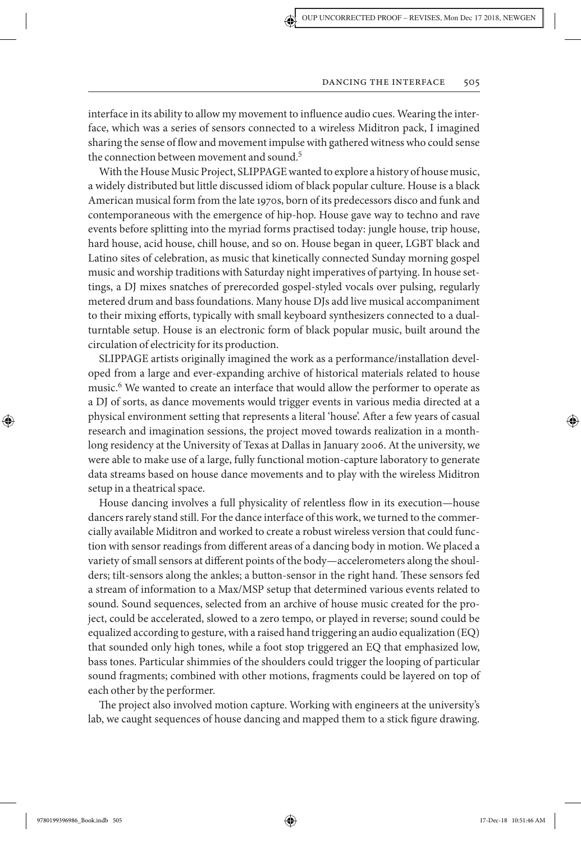interface in its ability to allow my movement to influence audio cues. Wearing the interface, which was a series of sensors connected to a wireless Miditron pack, I imagined sharing the sense of flow and movement impulse with gathered witness who could sense the connection between movement and sound.<sup>5</sup>

With the House Music Project, SLIPPAGE wanted to explore a history of house music, a widely distributed but little discussed idiom of black popular culture. House is a black American musical form from the late 1970s, born of its predecessors disco and funk and contemporaneous with the emergence of hip-hop. House gave way to techno and rave events before splitting into the myriad forms practised today: jungle house, trip house, hard house, acid house, chill house, and so on. House began in queer, LGBT black and Latino sites of celebration, as music that kinetically connected Sunday morning gospel music and worship traditions with Saturday night imperatives of partying. In house settings, a DJ mixes snatches of prerecorded gospel-styled vocals over pulsing, regularly metered drum and bass foundations. Many house DJs add live musical accompaniment to their mixing efforts, typically with small keyboard synthesizers connected to a dualturntable setup. House is an electronic form of black popular music, built around the circulation of electricity for its production.

SLIPPAGE artists originally imagined the work as a performance/installation developed from a large and ever-expanding archive of historical materials related to house music.<sup>6</sup> We wanted to create an interface that would allow the performer to operate as a DJ of sorts, as dance movements would trigger events in various media directed at a physical environment setting that represents a literal 'house'. After a few years of casual research and imagination sessions, the project moved towards realization in a monthlong residency at the University of Texas at Dallas in January 2006. At the university, we were able to make use of a large, fully functional motion-capture laboratory to generate data streams based on house dance movements and to play with the wireless Miditron setup in a theatrical space.

House dancing involves a full physicality of relentless flow in its execution—house dancers rarely stand still. For the dance interface of this work, we turned to the commercially available Miditron and worked to create a robust wireless version that could function with sensor readings from different areas of a dancing body in motion. We placed a variety of small sensors at different points of the body—accelerometers along the shoulders; tilt-sensors along the ankles; a button-sensor in the right hand. These sensors fed a stream of information to a Max/MSP setup that determined various events related to sound. Sound sequences, selected from an archive of house music created for the project, could be accelerated, slowed to a zero tempo, or played in reverse; sound could be equalized according to gesture, with a raised hand triggering an audio equalization (EQ) that sounded only high tones, while a foot stop triggered an EQ that emphasized low, bass tones. Particular shimmies of the shoulders could trigger the looping of particular sound fragments; combined with other motions, fragments could be layered on top of each other by the performer.

The project also involved motion capture. Working with engineers at the university's lab, we caught sequences of house dancing and mapped them to a stick figure drawing.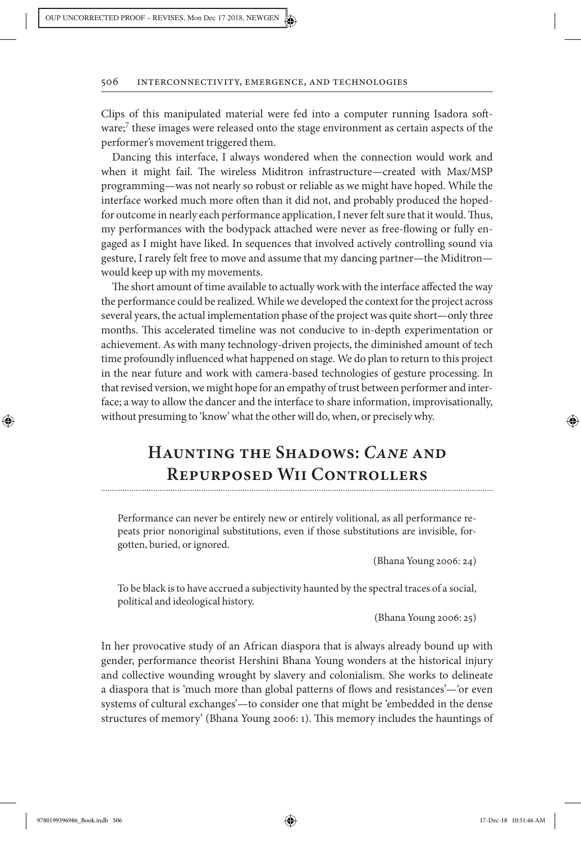Clips of this manipulated material were fed into a computer running Isadora software;<sup>7</sup> these images were released onto the stage environment as certain aspects of the performer's movement triggered them.

Dancing this interface, I always wondered when the connection would work and when it might fail. The wireless Miditron infrastructure—created with Max/MSP programming—was not nearly so robust or reliable as we might have hoped. While the interface worked much more often than it did not, and probably produced the hopedfor outcome in nearly each performance application, I never felt sure that it would. Thus, my performances with the bodypack attached were never as free-flowing or fully engaged as I might have liked. In sequences that involved actively controlling sound via gesture, I rarely felt free to move and assume that my dancing partner—the Miditron would keep up with my movements.

The short amount of time available to actually work with the interface affected the way the performance could be realized. While we developed the context for the project across several years, the actual implementation phase of the project was quite short—only three months. This accelerated timeline was not conducive to in-depth experimentation or achievement. As with many technology-driven projects, the diminished amount of tech time profoundly influenced what happened on stage. We do plan to return to this project in the near future and work with camera-based technologies of gesture processing. In that revised version, we might hope for an empathy of trust between performer and interface; a way to allow the dancer and the interface to share information, improvisationally, without presuming to 'know' what the other will do, when, or preciselywhy.

## **Haunting the Shadows:** *Cane* **and Repurposed Wii Controllers**

Performance can never be entirely new or entirely volitional, as all performance repeats prior nonoriginal substitutions, even if those substitutions are invisible, forgotten, buried, or ignored.

(Bhana Young 2006: 24)

To be black is to have accrued a subjectivity haunted by the spectral traces of a social, political and ideological history.

(Bhana Young 2006: 25)

In her provocative study of an African diaspora that is always already bound up with gender, performance theorist Hershini Bhana Young wonders at the historical injury and collective wounding wrought by slavery and colonialism. She works to delineate a diaspora that is 'much more than global patterns of flows and resistances'—'or even systems of cultural exchanges'—to consider one that might be 'embedded in the dense structures of memory' (Bhana Young 2006: 1). This memory includes the hauntings of

⊕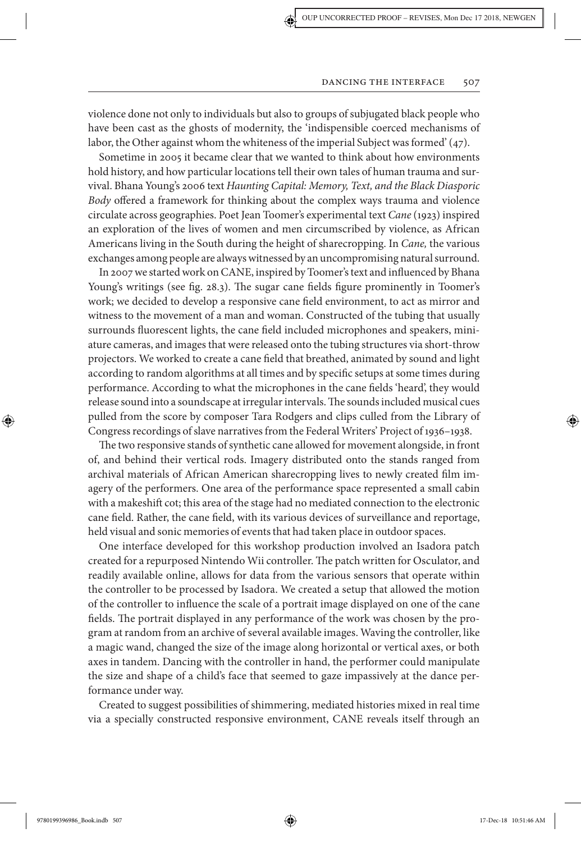#### DANCING THE INTERFACE 507

violence done not only to individuals but also to groups of subjugated black people who have been cast as the ghosts of modernity, the 'indispensible coerced mechanisms of labor, the Other against whom the whiteness of the imperial Subject was formed'(47).

Sometime in 2005 it became clear that we wanted to think about how environments hold history, and how particular locations tell their own tales of human trauma and survival. Bhana Young's 2006 text *Haunting Capital: Memory, Text, and the Black Diasporic Body* offered a framework for thinking about the complex ways trauma and violence circulate across geographies. Poet Jean Toomer's experimental text *Cane* (1923) inspired an exploration of the lives of women and men circumscribed by violence, as African Americans living in the South during the height of sharecropping. In *Cane,* the various exchanges among people are always witnessed by an uncompromising natural surround.

In 2007 we started work on CANE, inspired by Toomer's text and influenced by Bhana Young's writings (see fig. 28.3). The sugar cane fields figure prominently in Toomer's work; we decided to develop a responsive cane field environment, to act as mirror and witness to the movement of a man and woman. Constructed of the tubing that usually surrounds fluorescent lights, the cane field included microphones and speakers, miniature cameras, and images that were released onto the tubing structures via short-throw projectors. We worked to create a cane field that breathed, animated by sound and light according to random algorithms at all times and by specific setups at some times during performance. According to what the microphones in the cane fields 'heard', they would release sound into a soundscape at irregular intervals. The sounds included musical cues pulled from the score by composer Tara Rodgers and clips culled from the Library of Congress recordings of slave narratives from the Federal Writers' Project of 1936–1938.

The two responsive stands of synthetic cane allowed for movement alongside, in front of, and behind their vertical rods. Imagery distributed onto the stands ranged from archival materials of African American sharecropping lives to newly created film imagery of the performers. One area of the performance space represented a small cabin with a makeshift cot; this area of the stage had no mediated connection to the electronic cane field. Rather, the cane field, with its various devices of surveillance and reportage, held visual and sonic memories of events that had taken place in outdoor spaces.

One interface developed for this workshop production involved an Isadora patch created for a repurposed Nintendo Wii controller. The patch written for Osculator, and readily available online, allows for data from the various sensors that operate within the controller to be processed by Isadora. We created a setup that allowed the motion of the controller to influence the scale of a portrait image displayed on one of the cane fields. The portrait displayed in any performance of the work was chosen by the program at random from an archive of several available images. Waving the controller, like a magic wand, changed the size of the image along horizontal or vertical axes, or both axes in tandem. Dancing with the controller in hand, the performer could manipulate the size and shape of a child's face that seemed to gaze impassively at the dance performance under way.

Created to suggest possibilities of shimmering, mediated histories mixed in real time via a specially constructed responsive environment, CANE reveals itself through an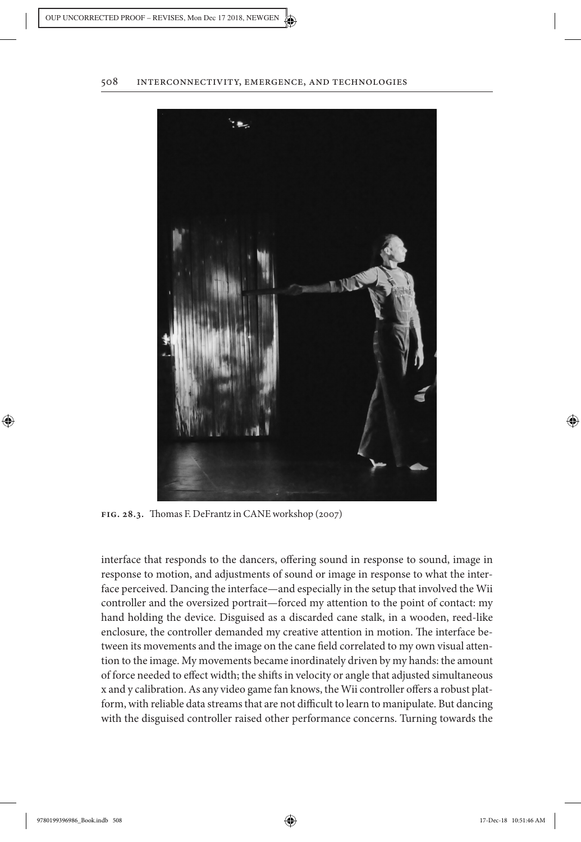

**Fig. 28.3.** Thomas F. DeFrantz in CANE workshop (2007)

interface that responds to the dancers, offering sound in response to sound, image in response to motion, and adjustments of sound or image in response to what the interface perceived. Dancing the interface—and especially in the setup that involved the Wii controller and the oversized portrait—forced my attention to the point of contact: my hand holding the device. Disguised as a discarded cane stalk, in a wooden, reed-like enclosure, the controller demanded my creative attention in motion. The interface between its movements and the image on the cane field correlated to my own visual attention to the image. My movements became inordinately driven by my hands: the amount of force needed to effect width; the shifts in velocity or angle that adjusted simultaneous x and y calibration. As any video game fan knows, the Wii controller offers a robust platform, with reliable data streams that are not difficult to learn to manipulate. But dancing with the disguised controller raised other performance concerns. Turning towards the

⊕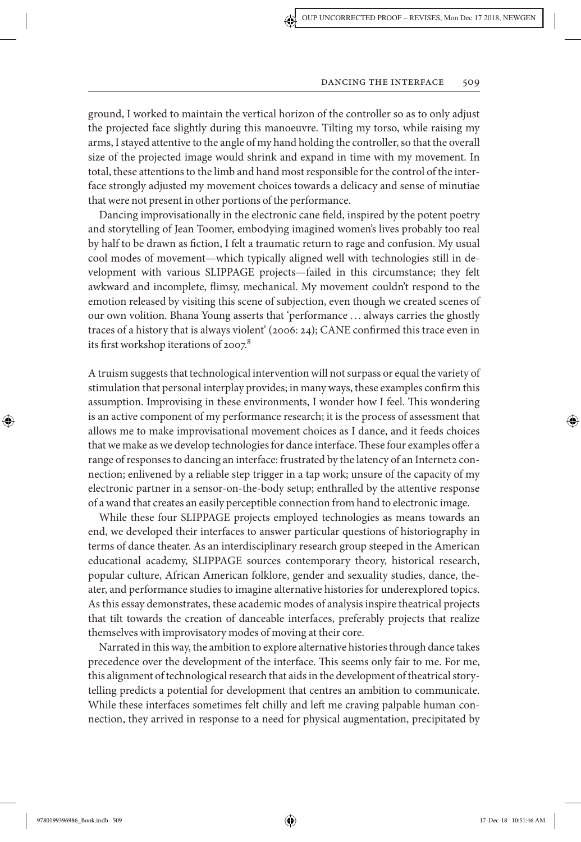#### DANCING THE INTERFACE 509

ground, I worked to maintain the vertical horizon of the controller so as to only adjust the projected face slightly during this manoeuvre. Tilting my torso, while raising my arms, I stayed attentive to the angle of my hand holding the controller, so that the overall size of the projected image would shrink and expand in time with my movement. In total, these attentions to the limb and hand most responsible for the control of the interface strongly adjusted my movement choices towards a delicacy and sense of minutiae that were not present in other portions of the performance.

Dancing improvisationally in the electronic cane field, inspired by the potent poetry and storytelling of Jean Toomer, embodying imagined women's lives probably too real by half to be drawn as fiction, I felt a traumatic return to rage and confusion. My usual cool modes of movement—which typically aligned well with technologies still in development with various SLIPPAGE projects—failed in this circumstance; they felt awkward and incomplete, flimsy, mechanical. My movement couldn't respond to the emotion released by visiting this scene of subjection, even though we created scenes of our own volition. Bhana Young asserts that 'performance . . . always carries the ghostly traces of a history that is always violent' (2006: 24); CANE confirmed this trace even in its first workshop iterations of 2007.<sup>8</sup>

A truism suggests that technological intervention will not surpass or equal the variety of stimulation that personal interplay provides; in many ways, these examples confirm this assumption. Improvising in these environments, I wonder how I feel. This wondering is an active component of my performance research; it is the process of assessment that allows me to make improvisational movement choices as I dance, and it feeds choices that we make as we develop technologies for dance interface. These four examples offer a range of responses to dancing an interface: frustrated by the latency of an Internet2 connection; enlivened by a reliable step trigger in a tap work; unsure of the capacity of my electronic partner in a sensor-on-the-body setup; enthralled by the attentive response of a wand that creates an easily perceptible connection from hand to electronic image.

While these four SLIPPAGE projects employed technologies as means towards an end, we developed their interfaces to answer particular questions of historiography in terms of dance theater. As an interdisciplinary research group steeped in the American educational academy, SLIPPAGE sources contemporary theory, historical research, popular culture, African American folklore, gender and sexuality studies, dance, theater, and performance studies to imagine alternative histories for underexplored topics. As this essay demonstrates, these academic modes of analysis inspire theatrical projects that tilt towards the creation of danceable interfaces, preferably projects that realize themselves with improvisatory modes of moving at their core.

Narrated in this way, the ambition to explore alternative histories through dance takes precedence over the development of the interface. This seems only fair to me. For me, this alignment of technological research that aids in the development of theatrical storytelling predicts a potential for development that centres an ambition to communicate. While these interfaces sometimes felt chilly and left me craving palpable human connection, they arrived in response to a need for physical augmentation, precipitated by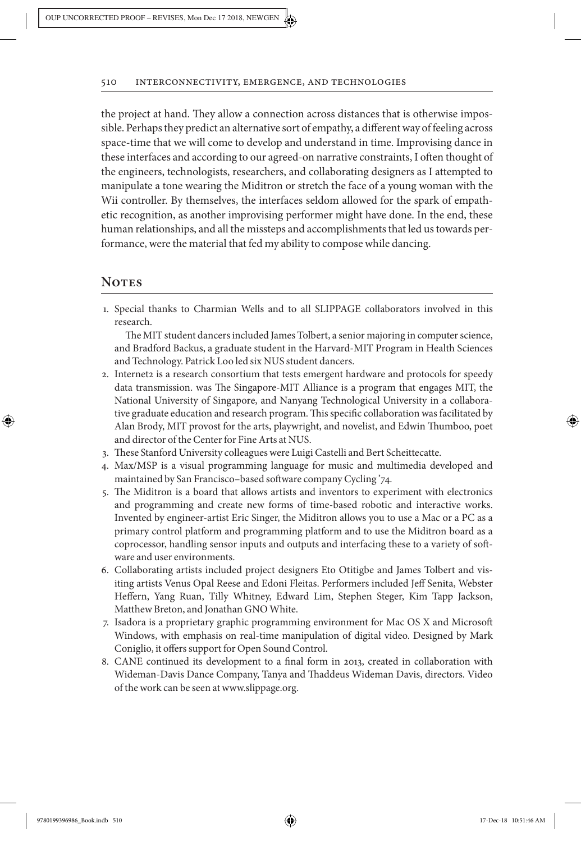the project at hand. They allow a connection across distances that is otherwise impossible. Perhaps they predict an alternative sort of empathy, a different way of feeling across space-time that we will come to develop and understand in time. Improvising dance in these interfaces and according to our agreed-on narrative constraints, I often thought of the engineers, technologists, researchers, and collaborating designers as I attempted to manipulate a tone wearing the Miditron or stretch the face of a young woman with the Wii controller. By themselves, the interfaces seldom allowed for the spark of empathetic recognition, as another improvising performer might have done. In the end, these human relationships, and all the missteps and accomplishments that led us towards performance, were the material that fed my ability to compose while dancing.

#### **NOTES**

⊕

1. Special thanks to Charmian Wells and to all SLIPPAGE collaborators involved in this research.

The MIT student dancers included James Tolbert, a senior majoring in computer science, and Bradford Backus, a graduate student in the Harvard-MIT Program in Health Sciences and Technology. Patrick Loo led six NUS student dancers.

- 2. Internet2 is a research consortium that tests emergent hardware and protocols for speedy data transmission. was The Singapore-MIT Alliance is a program that engages MIT, the National University of Singapore, and Nanyang Technological University in a collaborative graduate education and research program. This specific collaboration was facilitated by Alan Brody, MIT provost for the arts, playwright, and novelist, and Edwin Thumboo, poet and director of the Center for Fine Arts at NUS.
- 3. These Stanford University colleagues were Luigi Castelli and Bert Scheittecatte.
- 4. Max/MSP is a visual programming language for music and multimedia developed and maintained by San Francisco–based software company Cycling '74.
- 5. The Miditron is a board that allows artists and inventors to experiment with electronics and programming and create new forms of time-based robotic and interactive works. Invented by engineer-artist Eric Singer, the Miditron allows you to use a Mac or a PC as a primary control platform and programming platform and to use the Miditron board as a coprocessor, handling sensor inputs and outputs and interfacing these to a variety of software and user environments.
- 6. Collaborating artists included project designers Eto Otitigbe and James Tolbert and visiting artists Venus Opal Reese and Edoni Fleitas. Performers included Jeff Senita, Webster Heffern, Yang Ruan, Tilly Whitney, Edward Lim, Stephen Steger, Kim Tapp Jackson, Matthew Breton, and Jonathan GNO White.
- 7. Isadora is a proprietary graphic programming environment for Mac OS X and Microsoft Windows, with emphasis on real-time manipulation of digital video. Designed by Mark Coniglio, it offers support for Open Sound Control.
- 8. CANE continued its development to a final form in 2013, created in collaboration with Wideman-Davis Dance Company, Tanya and Thaddeus Wideman Davis, directors. Video of the work can be seen at www.slippage.org.